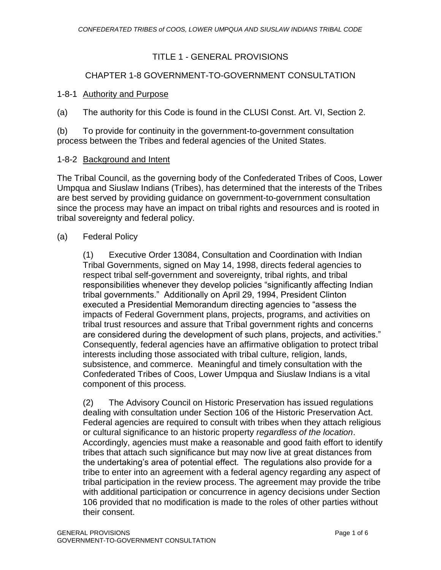# TITLE 1 - GENERAL PROVISIONS

## CHAPTER 1-8 GOVERNMENT-TO-GOVERNMENT CONSULTATION

## 1-8-1 Authority and Purpose

(a) The authority for this Code is found in the CLUSI Const. Art. VI, Section 2.

(b) To provide for continuity in the government-to-government consultation process between the Tribes and federal agencies of the United States.

## 1-8-2 Background and Intent

The Tribal Council, as the governing body of the Confederated Tribes of Coos, Lower Umpqua and Siuslaw Indians (Tribes), has determined that the interests of the Tribes are best served by providing guidance on government-to-government consultation since the process may have an impact on tribal rights and resources and is rooted in tribal sovereignty and federal policy.

## (a) Federal Policy

(1) Executive Order 13084, Consultation and Coordination with Indian Tribal Governments, signed on May 14, 1998, directs federal agencies to respect tribal self-government and sovereignty, tribal rights, and tribal responsibilities whenever they develop policies "significantly affecting Indian tribal governments." Additionally on April 29, 1994, President Clinton executed a Presidential Memorandum directing agencies to "assess the impacts of Federal Government plans, projects, programs, and activities on tribal trust resources and assure that Tribal government rights and concerns are considered during the development of such plans, projects, and activities." Consequently, federal agencies have an affirmative obligation to protect tribal interests including those associated with tribal culture, religion, lands, subsistence, and commerce. Meaningful and timely consultation with the Confederated Tribes of Coos, Lower Umpqua and Siuslaw Indians is a vital component of this process.

(2) The Advisory Council on Historic Preservation has issued regulations dealing with consultation under Section 106 of the Historic Preservation Act. Federal agencies are required to consult with tribes when they attach religious or cultural significance to an historic property *regardless of the location*. Accordingly, agencies must make a reasonable and good faith effort to identify tribes that attach such significance but may now live at great distances from the undertaking's area of potential effect. The regulations also provide for a tribe to enter into an agreement with a federal agency regarding any aspect of tribal participation in the review process. The agreement may provide the tribe with additional participation or concurrence in agency decisions under Section 106 provided that no modification is made to the roles of other parties without their consent.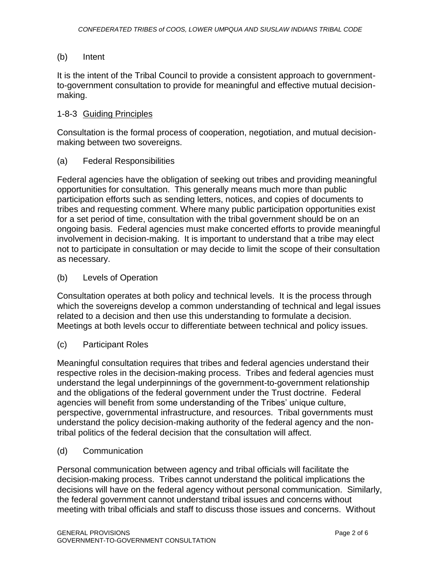#### (b) Intent

It is the intent of the Tribal Council to provide a consistent approach to governmentto-government consultation to provide for meaningful and effective mutual decisionmaking.

## 1-8-3 Guiding Principles

Consultation is the formal process of cooperation, negotiation, and mutual decisionmaking between two sovereigns.

## (a) Federal Responsibilities

Federal agencies have the obligation of seeking out tribes and providing meaningful opportunities for consultation. This generally means much more than public participation efforts such as sending letters, notices, and copies of documents to tribes and requesting comment. Where many public participation opportunities exist for a set period of time, consultation with the tribal government should be on an ongoing basis. Federal agencies must make concerted efforts to provide meaningful involvement in decision-making. It is important to understand that a tribe may elect not to participate in consultation or may decide to limit the scope of their consultation as necessary.

## (b) Levels of Operation

Consultation operates at both policy and technical levels. It is the process through which the sovereigns develop a common understanding of technical and legal issues related to a decision and then use this understanding to formulate a decision. Meetings at both levels occur to differentiate between technical and policy issues.

#### (c) Participant Roles

Meaningful consultation requires that tribes and federal agencies understand their respective roles in the decision-making process. Tribes and federal agencies must understand the legal underpinnings of the government-to-government relationship and the obligations of the federal government under the Trust doctrine. Federal agencies will benefit from some understanding of the Tribes' unique culture, perspective, governmental infrastructure, and resources. Tribal governments must understand the policy decision-making authority of the federal agency and the nontribal politics of the federal decision that the consultation will affect.

#### (d) Communication

Personal communication between agency and tribal officials will facilitate the decision-making process. Tribes cannot understand the political implications the decisions will have on the federal agency without personal communication. Similarly, the federal government cannot understand tribal issues and concerns without meeting with tribal officials and staff to discuss those issues and concerns. Without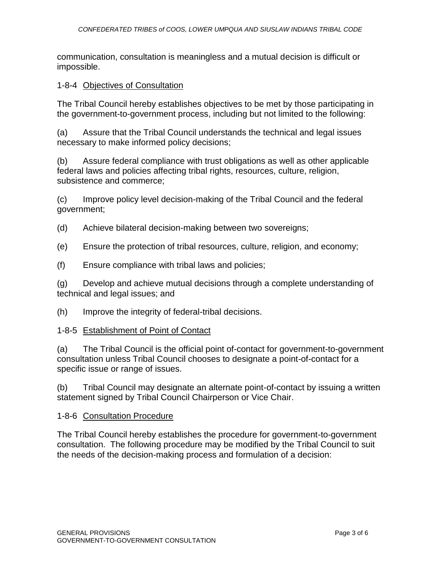communication, consultation is meaningless and a mutual decision is difficult or impossible.

## 1-8-4 Objectives of Consultation

The Tribal Council hereby establishes objectives to be met by those participating in the government-to-government process, including but not limited to the following:

(a) Assure that the Tribal Council understands the technical and legal issues necessary to make informed policy decisions;

(b) Assure federal compliance with trust obligations as well as other applicable federal laws and policies affecting tribal rights, resources, culture, religion, subsistence and commerce;

(c) Improve policy level decision-making of the Tribal Council and the federal government;

(d) Achieve bilateral decision-making between two sovereigns;

(e) Ensure the protection of tribal resources, culture, religion, and economy;

(f) Ensure compliance with tribal laws and policies;

(g) Develop and achieve mutual decisions through a complete understanding of technical and legal issues; and

(h) Improve the integrity of federal-tribal decisions.

#### 1-8-5 Establishment of Point of Contact

(a) The Tribal Council is the official point of-contact for government-to-government consultation unless Tribal Council chooses to designate a point-of-contact for a specific issue or range of issues.

(b) Tribal Council may designate an alternate point-of-contact by issuing a written statement signed by Tribal Council Chairperson or Vice Chair.

#### 1-8-6 Consultation Procedure

The Tribal Council hereby establishes the procedure for government-to-government consultation. The following procedure may be modified by the Tribal Council to suit the needs of the decision-making process and formulation of a decision: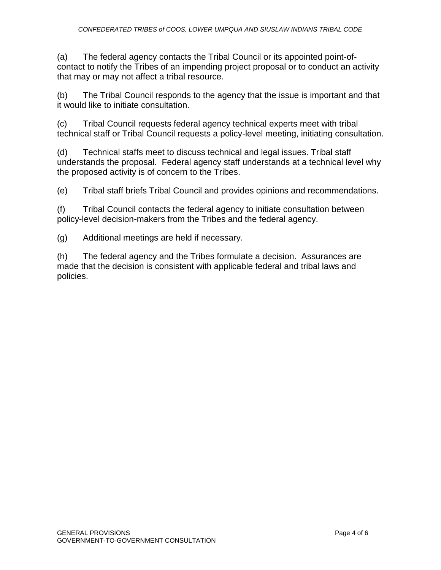(a) The federal agency contacts the Tribal Council or its appointed point-ofcontact to notify the Tribes of an impending project proposal or to conduct an activity that may or may not affect a tribal resource.

(b) The Tribal Council responds to the agency that the issue is important and that it would like to initiate consultation.

(c) Tribal Council requests federal agency technical experts meet with tribal technical staff or Tribal Council requests a policy-level meeting, initiating consultation.

(d) Technical staffs meet to discuss technical and legal issues. Tribal staff understands the proposal. Federal agency staff understands at a technical level why the proposed activity is of concern to the Tribes.

(e) Tribal staff briefs Tribal Council and provides opinions and recommendations.

(f) Tribal Council contacts the federal agency to initiate consultation between policy-level decision-makers from the Tribes and the federal agency.

(g) Additional meetings are held if necessary.

(h) The federal agency and the Tribes formulate a decision. Assurances are made that the decision is consistent with applicable federal and tribal laws and policies.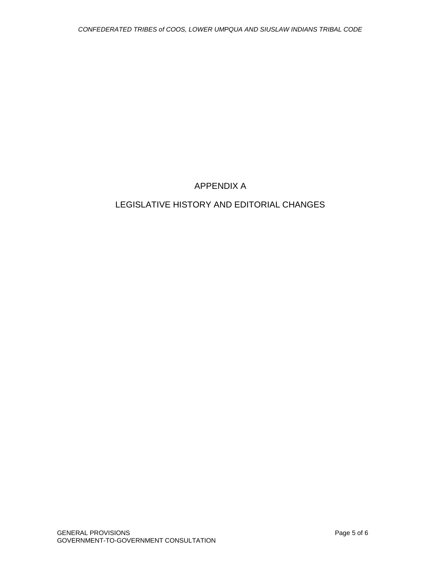# APPENDIX A

# LEGISLATIVE HISTORY AND EDITORIAL CHANGES